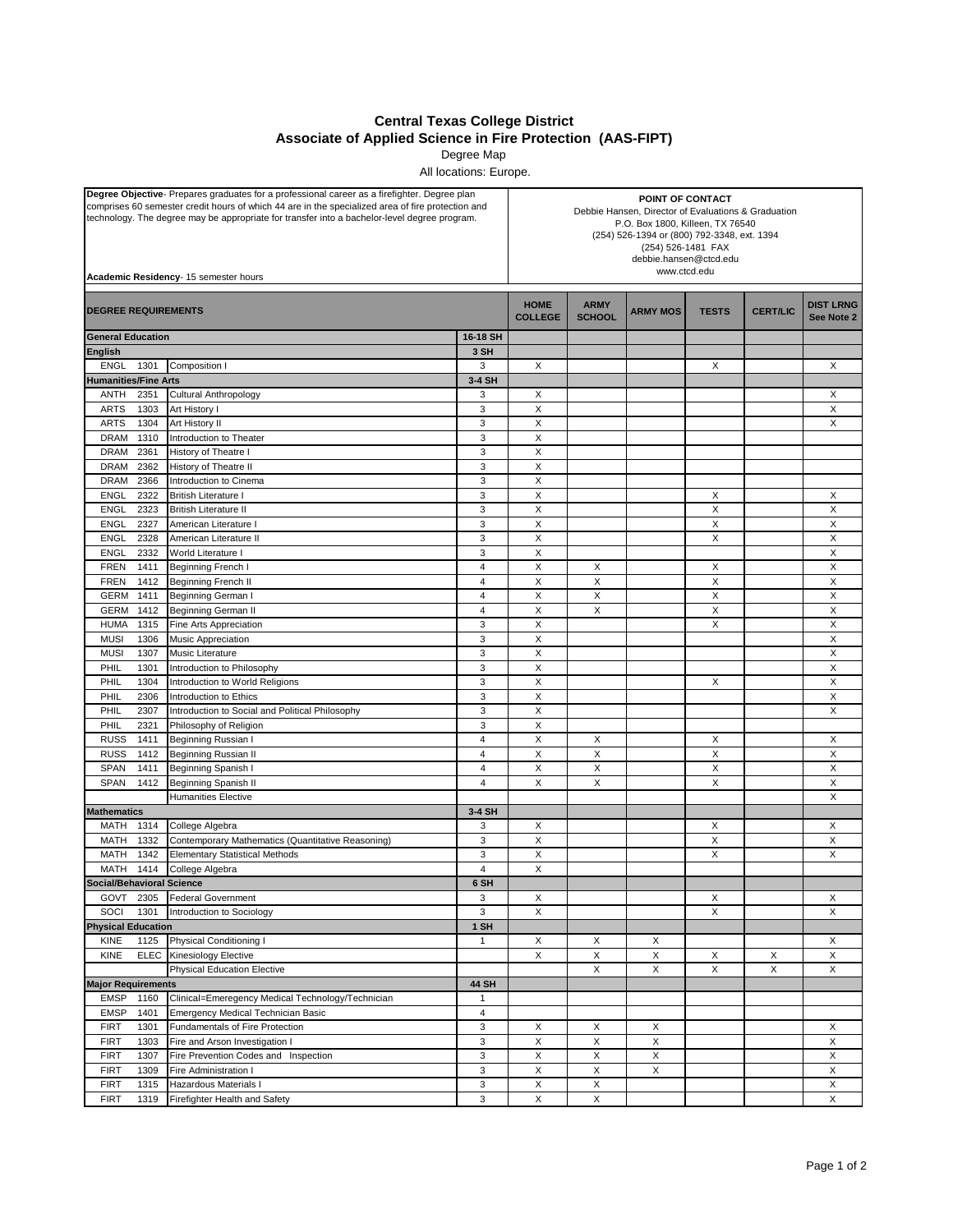## **Central Texas College District Associate of Applied Science in Fire Protection (AAS-FIPT)**

Degree Map

All locations: Europe.

| Degree Objective- Prepares graduates for a professional career as a firefighter. Degree plan<br>comprises 60 semester credit hours of which 44 are in the specialized area of fire protection and<br>technology. The degree may be appropriate for transfer into a bachelor-level degree program.<br>Academic Residency- 15 semester hours |                                                                   | POINT OF CONTACT<br>Debbie Hansen, Director of Evaluations & Graduation<br>P.O. Box 1800, Killeen, TX 76540<br>(254) 526-1394 or (800) 792-3348, ext. 1394<br>(254) 526-1481 FAX<br>debbie.hansen@ctcd.edu<br>www.ctcd.edu |                              |                 |              |                           |                                |        |
|--------------------------------------------------------------------------------------------------------------------------------------------------------------------------------------------------------------------------------------------------------------------------------------------------------------------------------------------|-------------------------------------------------------------------|----------------------------------------------------------------------------------------------------------------------------------------------------------------------------------------------------------------------------|------------------------------|-----------------|--------------|---------------------------|--------------------------------|--------|
| <b>DEGREE REQUIREMENTS</b>                                                                                                                                                                                                                                                                                                                 |                                                                   | <b>HOME</b><br><b>COLLEGE</b>                                                                                                                                                                                              | <b>ARMY</b><br><b>SCHOOL</b> | <b>ARMY MOS</b> | <b>TESTS</b> | <b>CERT/LIC</b>           | <b>DIST LRNG</b><br>See Note 2 |        |
| <b>General Education</b>                                                                                                                                                                                                                                                                                                                   |                                                                   | 16-18 SH                                                                                                                                                                                                                   |                              |                 |              |                           |                                |        |
| <b>English</b>                                                                                                                                                                                                                                                                                                                             |                                                                   | 3 SH                                                                                                                                                                                                                       |                              |                 |              |                           |                                |        |
| <b>ENGL</b><br>1301                                                                                                                                                                                                                                                                                                                        | Composition I                                                     | 3                                                                                                                                                                                                                          | X                            |                 |              | X                         |                                | Χ      |
| <b>Humanities/Fine Arts</b>                                                                                                                                                                                                                                                                                                                |                                                                   | 3-4 SH                                                                                                                                                                                                                     |                              |                 |              |                           |                                |        |
| ANTH<br>2351                                                                                                                                                                                                                                                                                                                               | <b>Cultural Anthropology</b>                                      | 3                                                                                                                                                                                                                          | X                            |                 |              |                           |                                | X      |
| <b>ARTS</b><br>1303<br><b>ARTS</b><br>1304                                                                                                                                                                                                                                                                                                 | Art History I                                                     | 3<br>3                                                                                                                                                                                                                     | X<br>X                       |                 |              |                           |                                | Χ<br>X |
| <b>DRAM</b><br>1310                                                                                                                                                                                                                                                                                                                        | Art History II<br>Introduction to Theater                         | $\ensuremath{\mathsf{3}}$                                                                                                                                                                                                  | X                            |                 |              |                           |                                |        |
| <b>DRAM</b><br>2361                                                                                                                                                                                                                                                                                                                        | History of Theatre I                                              | 3                                                                                                                                                                                                                          | X                            |                 |              |                           |                                |        |
| <b>DRAM</b><br>2362                                                                                                                                                                                                                                                                                                                        | History of Theatre II                                             | 3                                                                                                                                                                                                                          | X                            |                 |              |                           |                                |        |
| <b>DRAM</b><br>2366                                                                                                                                                                                                                                                                                                                        | Introduction to Cinema                                            | 3                                                                                                                                                                                                                          | X                            |                 |              |                           |                                |        |
| <b>ENGL</b><br>2322                                                                                                                                                                                                                                                                                                                        | <b>British Literature I</b>                                       | $\mathsf 3$                                                                                                                                                                                                                | X                            |                 |              | X                         |                                | X      |
| 2323<br><b>ENGL</b>                                                                                                                                                                                                                                                                                                                        | <b>British Literature II</b>                                      | 3                                                                                                                                                                                                                          | X                            |                 |              | X                         |                                | X      |
| <b>ENGL</b><br>2327                                                                                                                                                                                                                                                                                                                        | American Literature I                                             | $\mathsf 3$                                                                                                                                                                                                                | X                            |                 |              | X                         |                                | X      |
| <b>ENGL</b><br>2328                                                                                                                                                                                                                                                                                                                        | American Literature II                                            | 3                                                                                                                                                                                                                          | X                            |                 |              | X                         |                                | Χ      |
| <b>ENGL</b><br>2332                                                                                                                                                                                                                                                                                                                        | World Literature I                                                | 3                                                                                                                                                                                                                          | X                            |                 |              |                           |                                | X      |
| <b>FREN</b><br>1411                                                                                                                                                                                                                                                                                                                        | Beginning French I                                                | $\overline{4}$                                                                                                                                                                                                             | X                            | X               |              | X                         |                                | X      |
| <b>FREN</b><br>1412                                                                                                                                                                                                                                                                                                                        | <b>Beginning French II</b>                                        | $\overline{4}$                                                                                                                                                                                                             | X                            | X               |              | Χ                         |                                | X      |
| <b>GERM</b><br>1411                                                                                                                                                                                                                                                                                                                        | Beginning German I                                                | $\overline{4}$                                                                                                                                                                                                             | X                            | Χ               |              | Χ                         |                                | Χ      |
| <b>GERM</b><br>1412                                                                                                                                                                                                                                                                                                                        | Beginning German II                                               | $\overline{4}$                                                                                                                                                                                                             | X                            | X               |              | Χ                         |                                | X      |
| <b>HUMA</b><br>1315                                                                                                                                                                                                                                                                                                                        | Fine Arts Appreciation                                            | $\mathsf 3$                                                                                                                                                                                                                | X                            |                 |              | X                         |                                | Χ      |
| <b>MUSI</b><br>1306                                                                                                                                                                                                                                                                                                                        | Music Appreciation                                                | 3                                                                                                                                                                                                                          | X                            |                 |              |                           |                                | X      |
| <b>MUSI</b><br>1307                                                                                                                                                                                                                                                                                                                        | Music Literature                                                  | 3                                                                                                                                                                                                                          | X                            |                 |              |                           |                                | X      |
| PHIL<br>1301                                                                                                                                                                                                                                                                                                                               | Introduction to Philosophy                                        | 3                                                                                                                                                                                                                          | X                            |                 |              |                           |                                | Χ      |
| PHIL<br>1304                                                                                                                                                                                                                                                                                                                               | Introduction to World Religions                                   | 3                                                                                                                                                                                                                          | X                            |                 |              | х                         |                                | X      |
| PHIL<br>2306                                                                                                                                                                                                                                                                                                                               | Introduction to Ethics                                            | $\mathbf{3}$                                                                                                                                                                                                               | X                            |                 |              |                           |                                | Χ      |
| PHIL<br>2307<br>PHIL<br>2321                                                                                                                                                                                                                                                                                                               | Introduction to Social and Political Philosophy                   | 3                                                                                                                                                                                                                          | X<br>X                       |                 |              |                           |                                | X      |
| <b>RUSS</b><br>1411                                                                                                                                                                                                                                                                                                                        | Philosophy of Religion<br>Beginning Russian I                     | 3<br>$\overline{4}$                                                                                                                                                                                                        | X                            | X               |              | X                         |                                | X      |
| <b>RUSS</b><br>1412                                                                                                                                                                                                                                                                                                                        | Beginning Russian II                                              | $\overline{4}$                                                                                                                                                                                                             | X                            | Χ               |              | X                         |                                | X      |
| <b>SPAN</b><br>1411                                                                                                                                                                                                                                                                                                                        | Beginning Spanish I                                               | $\overline{4}$                                                                                                                                                                                                             | X                            | Χ               |              | X                         |                                | X      |
| <b>SPAN</b><br>1412                                                                                                                                                                                                                                                                                                                        | Beginning Spanish II                                              | $\overline{\mathbf{4}}$                                                                                                                                                                                                    | X                            | X               |              | Χ                         |                                | X      |
|                                                                                                                                                                                                                                                                                                                                            | <b>Humanities Elective</b>                                        |                                                                                                                                                                                                                            |                              |                 |              |                           |                                | X      |
| <b>Mathematics</b>                                                                                                                                                                                                                                                                                                                         |                                                                   | 3-4 SH                                                                                                                                                                                                                     |                              |                 |              |                           |                                |        |
| MATH<br>1314                                                                                                                                                                                                                                                                                                                               | College Algebra                                                   | 3                                                                                                                                                                                                                          | X                            |                 |              | X                         |                                | X      |
| MATH<br>1332                                                                                                                                                                                                                                                                                                                               | Contemporary Mathematics (Quantitative Reasoning)                 | 3                                                                                                                                                                                                                          | X                            |                 |              | X                         |                                | X      |
| MATH<br>1342                                                                                                                                                                                                                                                                                                                               | <b>Elementary Statistical Methods</b>                             | 3                                                                                                                                                                                                                          | X                            |                 |              | X                         |                                | X      |
| MATH 1414                                                                                                                                                                                                                                                                                                                                  | College Algebra                                                   | 4                                                                                                                                                                                                                          | X                            |                 |              |                           |                                |        |
| Social/Behavioral Science                                                                                                                                                                                                                                                                                                                  |                                                                   | 6 SH                                                                                                                                                                                                                       |                              |                 |              |                           |                                |        |
| GOVT<br>2305                                                                                                                                                                                                                                                                                                                               | <b>Federal Government</b>                                         | 3                                                                                                                                                                                                                          | X                            |                 |              | X                         |                                | X      |
| 1301<br>SOCI                                                                                                                                                                                                                                                                                                                               | Introduction to Sociology                                         | $\mathsf 3$                                                                                                                                                                                                                | X                            |                 |              | $\boldsymbol{\mathsf{X}}$ |                                | X      |
| <b>Physical Education</b>                                                                                                                                                                                                                                                                                                                  |                                                                   | 1 SH                                                                                                                                                                                                                       |                              |                 |              |                           |                                |        |
| KINE<br>1125                                                                                                                                                                                                                                                                                                                               | Physical Conditioning I                                           | $\mathbf{1}$                                                                                                                                                                                                               | Х                            | X               | X            |                           |                                | X      |
| KINE<br><b>ELEC</b>                                                                                                                                                                                                                                                                                                                        | Kinesiology Elective                                              |                                                                                                                                                                                                                            | X                            | X               | X            | X                         | X                              | X      |
|                                                                                                                                                                                                                                                                                                                                            | <b>Physical Education Elective</b>                                |                                                                                                                                                                                                                            |                              | X               | X            | X                         | $\boldsymbol{\mathsf{X}}$      | X      |
| <b>Major Requirements</b>                                                                                                                                                                                                                                                                                                                  |                                                                   | <b>44 SH</b>                                                                                                                                                                                                               |                              |                 |              |                           |                                |        |
| <b>EMSP</b><br>1160                                                                                                                                                                                                                                                                                                                        | Clinical=Emeregency Medical Technology/Technician                 | $\mathbf{1}$                                                                                                                                                                                                               |                              |                 |              |                           |                                |        |
| <b>EMSP</b><br>1401                                                                                                                                                                                                                                                                                                                        | Emergency Medical Technician Basic                                | $\pmb{4}$<br>$\mathsf 3$                                                                                                                                                                                                   |                              | X               | X            |                           |                                |        |
| <b>FIRT</b><br>1301<br><b>FIRT</b><br>1303                                                                                                                                                                                                                                                                                                 | Fundamentals of Fire Protection<br>Fire and Arson Investigation I | 3                                                                                                                                                                                                                          | X<br>X                       | X               | X            |                           |                                | X<br>X |
| 1307<br><b>FIRT</b>                                                                                                                                                                                                                                                                                                                        | Fire Prevention Codes and Inspection                              | $\mathsf 3$                                                                                                                                                                                                                | X                            | X               | $\mathsf X$  |                           |                                | X      |
| <b>FIRT</b><br>1309                                                                                                                                                                                                                                                                                                                        | Fire Administration I                                             | 3                                                                                                                                                                                                                          | Χ                            | X               | X            |                           |                                | X      |
| <b>FIRT</b><br>1315                                                                                                                                                                                                                                                                                                                        | <b>Hazardous Materials I</b>                                      | 3                                                                                                                                                                                                                          | X                            | X               |              |                           |                                | X      |
| <b>FIRT</b><br>1319                                                                                                                                                                                                                                                                                                                        | Firefighter Health and Safety                                     | $\mathbf{3}$                                                                                                                                                                                                               | X                            | X               |              |                           |                                | X      |